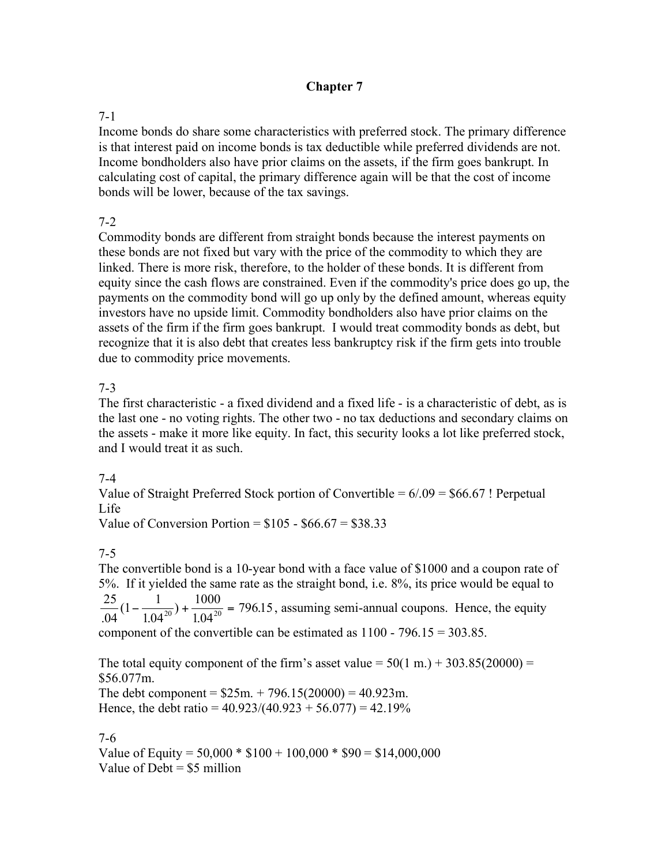### **Chapter 7**

### 7-1

Income bonds do share some characteristics with preferred stock. The primary difference is that interest paid on income bonds is tax deductible while preferred dividends are not. Income bondholders also have prior claims on the assets, if the firm goes bankrupt. In calculating cost of capital, the primary difference again will be that the cost of income bonds will be lower, because of the tax savings.

### $7 - 2$

Commodity bonds are different from straight bonds because the interest payments on these bonds are not fixed but vary with the price of the commodity to which they are linked. There is more risk, therefore, to the holder of these bonds. It is different from equity since the cash flows are constrained. Even if the commodity's price does go up, the payments on the commodity bond will go up only by the defined amount, whereas equity investors have no upside limit. Commodity bondholders also have prior claims on the assets of the firm if the firm goes bankrupt. I would treat commodity bonds as debt, but recognize that it is also debt that creates less bankruptcy risk if the firm gets into trouble due to commodity price movements.

#### 7-3

The first characteristic - a fixed dividend and a fixed life - is a characteristic of debt, as is the last one - no voting rights. The other two - no tax deductions and secondary claims on the assets - make it more like equity. In fact, this security looks a lot like preferred stock, and I would treat it as such.

#### 7-4

Value of Straight Preferred Stock portion of Convertible =  $6/09 = $66.67$ ! Perpetual Life

Value of Conversion Portion =  $$105 - $66.67 = $38.33$ 

# 7-5

The convertible bond is a 10-year bond with a face value of \$1000 and a coupon rate of 5%. If it yielded the same rate as the straight bond, i.e. 8%, its price would be equal to 25 04  $1 - \frac{1}{1}$ 1.04 1000  $\frac{25}{.04}(1-\frac{1}{1.04^{20}})+\frac{1000}{1.04^{20}}=796.15$ ( . ) .  $\frac{1}{2.0420}$  +  $\frac{1000}{1.0420}$  = 796.15, assuming semi-annual coupons. Hence, the equity component of the convertible can be estimated as  $1100 - 796.15 = 303.85$ .

The total equity component of the firm's asset value  $= 50(1 \text{ m.}) + 303.85(20000) =$ \$56.077m. The debt component =  $$25m. + 796.15(20000) = 40.923m$ . Hence, the debt ratio =  $40.923/(40.923 + 56.077) = 42.19\%$ 

#### 7-6

Value of Equity =  $50,000 * $100 + 100,000 * $90 = $14,000,000$ Value of  $Debt = $5$  million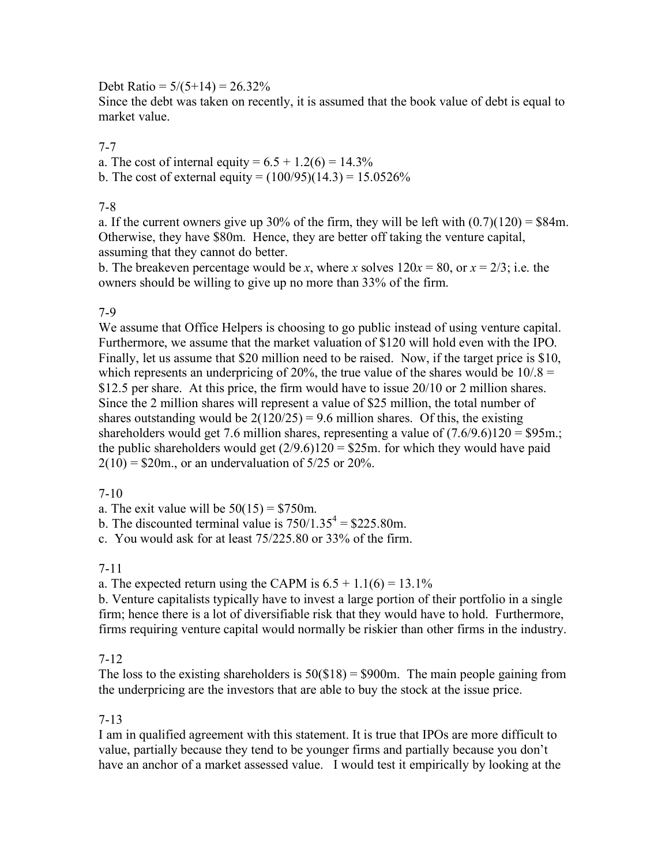Debt Ratio =  $5/(5+14) = 26.32\%$ 

Since the debt was taken on recently, it is assumed that the book value of debt is equal to market value.

### 7-7

a. The cost of internal equity =  $6.5 + 1.2(6) = 14.3\%$ 

b. The cost of external equity =  $(100/95)(14.3) = 15.0526\%$ 

#### 7-8

a. If the current owners give up 30% of the firm, they will be left with  $(0.7)(120) = $84$ m. Otherwise, they have \$80m. Hence, they are better off taking the venture capital, assuming that they cannot do better.

b. The breakeven percentage would be *x*, where *x* solves  $120x = 80$ , or  $x = 2/3$ ; i.e. the owners should be willing to give up no more than 33% of the firm.

# 7-9

We assume that Office Helpers is choosing to go public instead of using venture capital. Furthermore, we assume that the market valuation of \$120 will hold even with the IPO. Finally, let us assume that \$20 million need to be raised. Now, if the target price is \$10, which represents an underpricing of 20%, the true value of the shares would be  $10/8 =$ \$12.5 per share. At this price, the firm would have to issue 20/10 or 2 million shares. Since the 2 million shares will represent a value of \$25 million, the total number of shares outstanding would be  $2(120/25) = 9.6$  million shares. Of this, the existing shareholders would get 7.6 million shares, representing a value of  $(7.6/9.6)120 = $95$ m.; the public shareholders would get  $(2/9.6)120 = $25m$ . for which they would have paid  $2(10) = $20$ m., or an undervaluation of  $5/25$  or  $20\%$ .

#### 7-10

a. The exit value will be  $50(15) = $750$ m.

b. The discounted terminal value is  $750/1.35^4 = $225.80$ m.

c. You would ask for at least 75/225.80 or 33% of the firm.

#### 7-11

a. The expected return using the CAPM is  $6.5 + 1.1(6) = 13.1\%$ 

b. Venture capitalists typically have to invest a large portion of their portfolio in a single firm; hence there is a lot of diversifiable risk that they would have to hold. Furthermore, firms requiring venture capital would normally be riskier than other firms in the industry.

# 7-12

The loss to the existing shareholders is  $50(\text{S}18) = \text{S}900$ m. The main people gaining from the underpricing are the investors that are able to buy the stock at the issue price.

#### 7-13

I am in qualified agreement with this statement. It is true that IPOs are more difficult to value, partially because they tend to be younger firms and partially because you don't have an anchor of a market assessed value. I would test it empirically by looking at the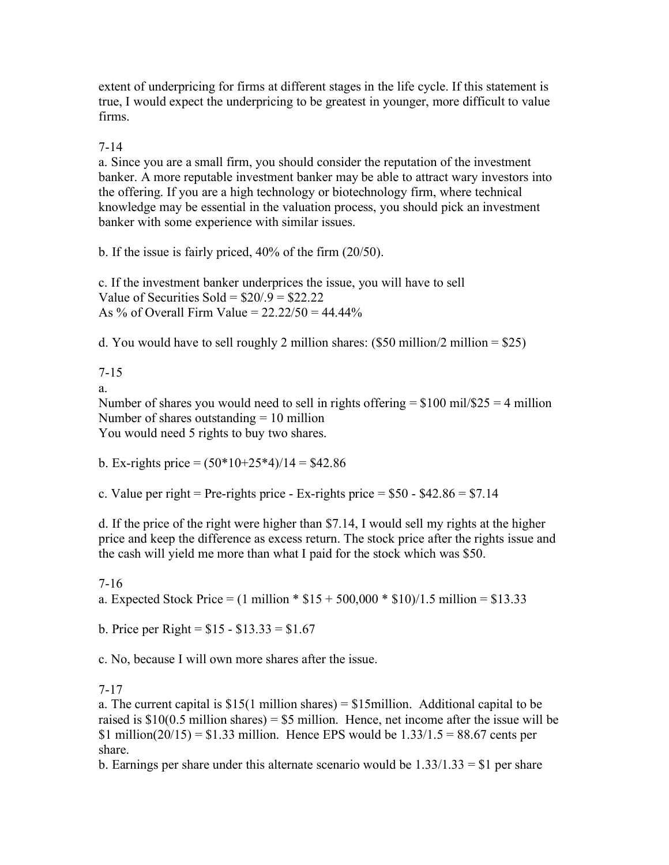extent of underpricing for firms at different stages in the life cycle. If this statement is true, I would expect the underpricing to be greatest in younger, more difficult to value firms.

### 7-14

a. Since you are a small firm, you should consider the reputation of the investment banker. A more reputable investment banker may be able to attract wary investors into the offering. If you are a high technology or biotechnology firm, where technical knowledge may be essential in the valuation process, you should pick an investment banker with some experience with similar issues.

b. If the issue is fairly priced, 40% of the firm (20/50).

c. If the investment banker underprices the issue, you will have to sell Value of Securities Sold =  $$20/.9 = $22.22$ As % of Overall Firm Value =  $22.22/50 = 44.44\%$ 

d. You would have to sell roughly 2 million shares:  $(\$50$  million/2 million = \$25)

7-15

a.

Number of shares you would need to sell in rights offering  $= $100 \text{ mil}/$25 = 4 \text{ million}$ Number of shares outstanding  $= 10$  million You would need 5 rights to buy two shares.

b. Ex-rights price  $= (50*10+25*4)/14 = $42.86$ 

c. Value per right = Pre-rights price - Ex-rights price =  $$50 - $42.86 = $7.14$ 

d. If the price of the right were higher than \$7.14, I would sell my rights at the higher price and keep the difference as excess return. The stock price after the rights issue and the cash will yield me more than what I paid for the stock which was \$50.

7-16

a. Expected Stock Price =  $(1 \text{ million} * $15 + 500,000 * $10)/1.5 \text{ million} = $13.33$ 

b. Price per Right =  $$15 - $13.33 = $1.67$ 

c. No, because I will own more shares after the issue.

# 7-17

a. The current capital is  $$15(1 \text{ million shares}) = $15 \text{ million}$ . Additional capital to be raised is  $$10(0.5 \text{ million shares}) = $5 \text{ million}$ . Hence, net income after the issue will be \$1 million( $20/15$ ) = \$1.33 million. Hence EPS would be  $1.33/1.5 = 88.67$  cents per share.

b. Earnings per share under this alternate scenario would be  $1.33/1.33 = $1$  per share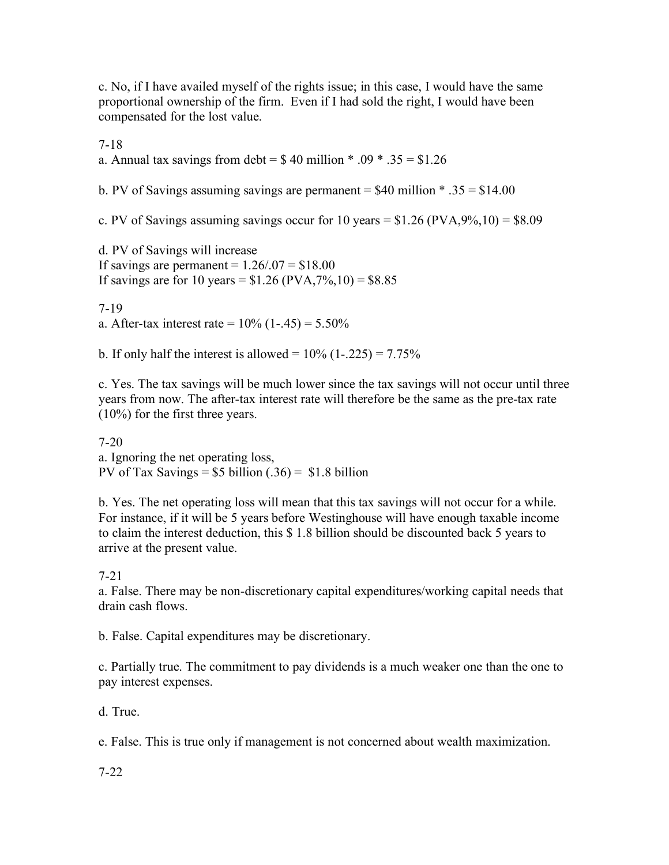c. No, if I have availed myself of the rights issue; in this case, I would have the same proportional ownership of the firm. Even if I had sold the right, I would have been compensated for the lost value.

7-18

a. Annual tax savings from debt =  $$40$  million \* .09 \* .35 = \$1.26

b. PV of Savings assuming savings are permanent  $=$  \$40 million  $*$  .35  $=$  \$14.00

c. PV of Savings assuming savings occur for 10 years  $= $1.26$  (PVA,9%,10)  $= $8.09$ 

d. PV of Savings will increase If savings are permanent  $= 1.26/0.07 = $18.00$ If savings are for 10 years =  $$1.26 (PVA, 7\%, 10) = $8.85$ 

7-19 a. After-tax interest rate =  $10\%$  (1-.45) =  $5.50\%$ 

b. If only half the interest is allowed =  $10\%$  (1-.225) =  $7.75\%$ 

c. Yes. The tax savings will be much lower since the tax savings will not occur until three years from now. The after-tax interest rate will therefore be the same as the pre-tax rate (10%) for the first three years.

7-20 a. Ignoring the net operating loss, PV of Tax Savings =  $$5$  billion (.36) =  $$1.8$  billion

b. Yes. The net operating loss will mean that this tax savings will not occur for a while. For instance, if it will be 5 years before Westinghouse will have enough taxable income to claim the interest deduction, this \$ 1.8 billion should be discounted back 5 years to arrive at the present value.

7-21

a. False. There may be non-discretionary capital expenditures/working capital needs that drain cash flows.

b. False. Capital expenditures may be discretionary.

c. Partially true. The commitment to pay dividends is a much weaker one than the one to pay interest expenses.

d. True.

e. False. This is true only if management is not concerned about wealth maximization.

7-22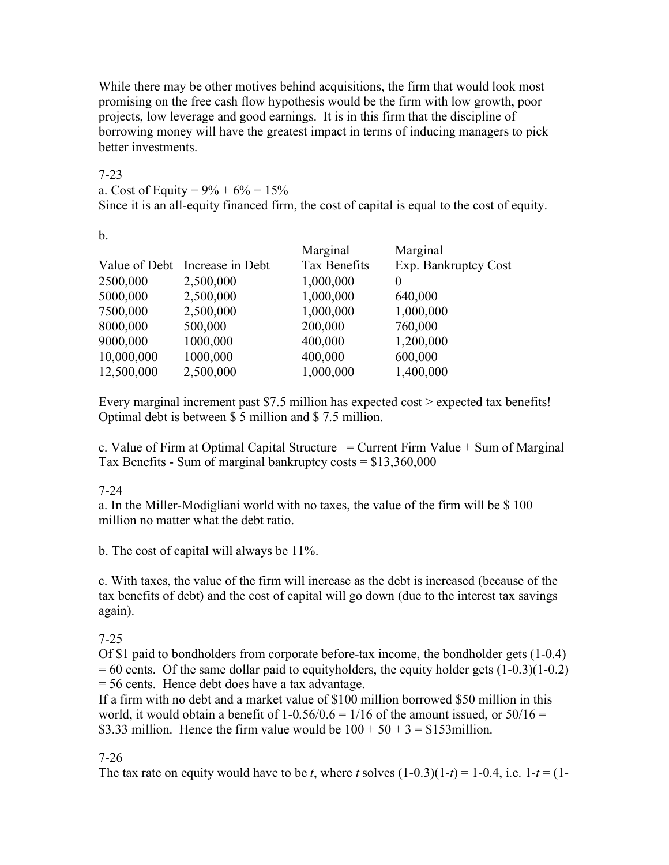While there may be other motives behind acquisitions, the firm that would look most promising on the free cash flow hypothesis would be the firm with low growth, poor projects, low leverage and good earnings. It is in this firm that the discipline of borrowing money will have the greatest impact in terms of inducing managers to pick better investments.

### 7-23

a. Cost of Equity =  $9\% + 6\% = 15\%$ 

Since it is an all-equity financed firm, the cost of capital is equal to the cost of equity.

b.

|                                | Marginal     | Marginal             |
|--------------------------------|--------------|----------------------|
| Value of Debt Increase in Debt | Tax Benefits | Exp. Bankruptcy Cost |
| 2,500,000                      | 1,000,000    | $\theta$             |
| 2,500,000                      | 1,000,000    | 640,000              |
| 2,500,000                      | 1,000,000    | 1,000,000            |
| 500,000                        | 200,000      | 760,000              |
| 1000,000                       | 400,000      | 1,200,000            |
| 1000,000                       | 400,000      | 600,000              |
| 2,500,000                      | 1,000,000    | 1,400,000            |
|                                |              |                      |

Every marginal increment past \$7.5 million has expected cost > expected tax benefits! Optimal debt is between \$ 5 million and \$ 7.5 million.

c. Value of Firm at Optimal Capital Structure  $=$  Current Firm Value  $+$  Sum of Marginal Tax Benefits - Sum of marginal bankruptcy costs = \$13,360,000

# 7-24

a. In the Miller-Modigliani world with no taxes, the value of the firm will be \$ 100 million no matter what the debt ratio.

b. The cost of capital will always be 11%.

c. With taxes, the value of the firm will increase as the debt is increased (because of the tax benefits of debt) and the cost of capital will go down (due to the interest tax savings again).

#### 7-25

Of \$1 paid to bondholders from corporate before-tax income, the bondholder gets (1-0.4)  $= 60$  cents. Of the same dollar paid to equity holders, the equity holder gets  $(1-0.3)(1-0.2)$ = 56 cents. Hence debt does have a tax advantage.

If a firm with no debt and a market value of \$100 million borrowed \$50 million in this world, it would obtain a benefit of  $1-0.56/0.6 = 1/16$  of the amount issued, or  $50/16 =$ \$3.33 million. Hence the firm value would be  $100 + 50 + 3 = $153$  million.

# 7-26

The tax rate on equity would have to be *t*, where *t* solves  $(1-0.3)(1-t) = 1-0.4$ , i.e.  $1-t = (1-t)$